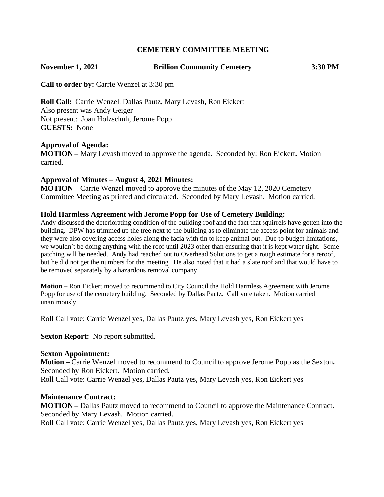# **CEMETERY COMMITTEE MEETING**

## **November 1, 2021 Brillion Community Cemetery 3:30 PM**

**Call to order by:** Carrie Wenzel at 3:30 pm

**Roll Call:** Carrie Wenzel, Dallas Pautz, Mary Levash, Ron Eickert Also present was Andy Geiger Not present: Joan Holzschuh, Jerome Popp **GUESTS:** None

### **Approval of Agenda:**

**MOTION –** Mary Levash moved to approve the agenda. Seconded by: Ron Eickert**.** Motion carried.

### **Approval of Minutes – August 4, 2021 Minutes:**

**MOTION –** Carrie Wenzel moved to approve the minutes of the May 12, 2020 Cemetery Committee Meeting as printed and circulated. Seconded by Mary Levash. Motion carried.

### **Hold Harmless Agreement with Jerome Popp for Use of Cemetery Building:**

Andy discussed the deteriorating condition of the building roof and the fact that squirrels have gotten into the building. DPW has trimmed up the tree next to the building as to eliminate the access point for animals and they were also covering access holes along the facia with tin to keep animal out. Due to budget limitations, we wouldn't be doing anything with the roof until 2023 other than ensuring that it is kept water tight. Some patching will be needed. Andy had reached out to Overhead Solutions to get a rough estimate for a reroof, but he did not get the numbers for the meeting. He also noted that it had a slate roof and that would have to be removed separately by a hazardous removal company.

**Motion –** Ron Eickert moved to recommend to City Council the Hold Harmless Agreement with Jerome Popp for use of the cemetery building. Seconded by Dallas Pautz. Call vote taken. Motion carried unanimously.

Roll Call vote: Carrie Wenzel yes, Dallas Pautz yes, Mary Levash yes, Ron Eickert yes

**Sexton Report:** No report submitted.

### **Sexton Appointment:**

**Motion –** Carrie Wenzel moved to recommend to Council to approve Jerome Popp as the Sexton**.**  Seconded by Ron Eickert. Motion carried. Roll Call vote: Carrie Wenzel yes, Dallas Pautz yes, Mary Levash yes, Ron Eickert yes

#### **Maintenance Contract:**

**MOTION –** Dallas Pautz moved to recommend to Council to approve the Maintenance Contract**.**  Seconded by Mary Levash. Motion carried.

Roll Call vote: Carrie Wenzel yes, Dallas Pautz yes, Mary Levash yes, Ron Eickert yes